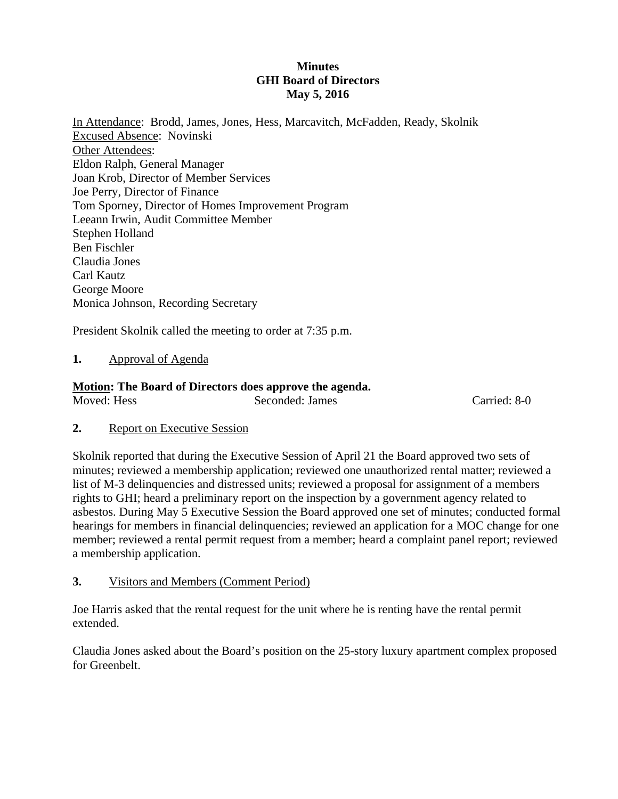# **Minutes GHI Board of Directors May 5, 2016**

In Attendance: Brodd, James, Jones, Hess, Marcavitch, McFadden, Ready, Skolnik Excused Absence: Novinski Other Attendees: Eldon Ralph, General Manager Joan Krob, Director of Member Services Joe Perry, Director of Finance Tom Sporney, Director of Homes Improvement Program Leeann Irwin, Audit Committee Member Stephen Holland Ben Fischler Claudia Jones Carl Kautz George Moore Monica Johnson, Recording Secretary

President Skolnik called the meeting to order at 7:35 p.m.

## **1.** Approval of Agenda

## **Motion: The Board of Directors does approve the agenda.**

| Moved: Hess | Seconded: James |  |
|-------------|-----------------|--|
|             |                 |  |

### **2.** Report on Executive Session

Skolnik reported that during the Executive Session of April 21 the Board approved two sets of minutes; reviewed a membership application; reviewed one unauthorized rental matter; reviewed a list of M-3 delinquencies and distressed units; reviewed a proposal for assignment of a members rights to GHI; heard a preliminary report on the inspection by a government agency related to asbestos. During May 5 Executive Session the Board approved one set of minutes; conducted formal hearings for members in financial delinquencies; reviewed an application for a MOC change for one member; reviewed a rental permit request from a member; heard a complaint panel report; reviewed a membership application.

Carried: 8-0

**3.** Visitors and Members (Comment Period)

Joe Harris asked that the rental request for the unit where he is renting have the rental permit extended.

Claudia Jones asked about the Board's position on the 25-story luxury apartment complex proposed for Greenbelt.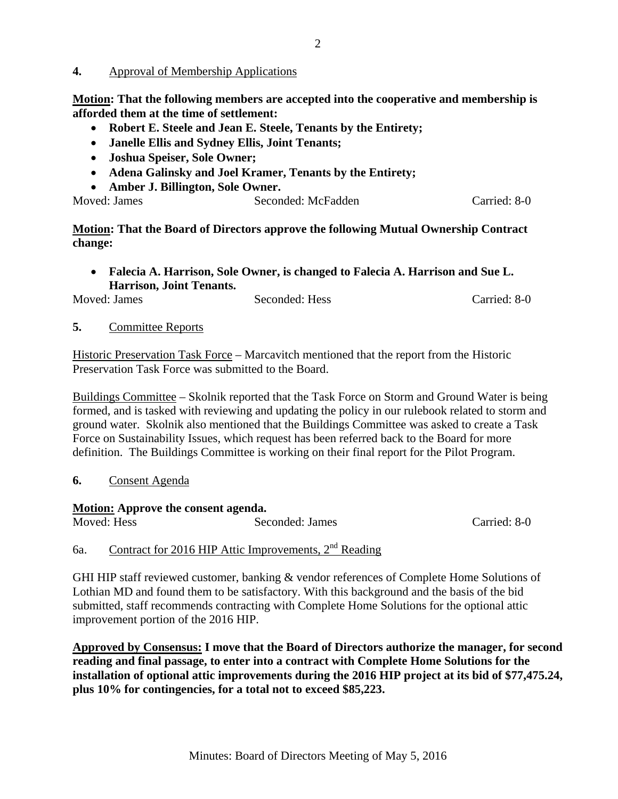### **4.** Approval of Membership Applications

**Motion: That the following members are accepted into the cooperative and membership is afforded them at the time of settlement:** 

- **Robert E. Steele and Jean E. Steele, Tenants by the Entirety;**
- **Janelle Ellis and Sydney Ellis, Joint Tenants;**
- **Joshua Speiser, Sole Owner;**
- **Adena Galinsky and Joel Kramer, Tenants by the Entirety;**
- **Amber J. Billington, Sole Owner.**

| Moved: James | Seconded: McFadden | Carried: 8-0 |
|--------------|--------------------|--------------|
|              |                    |              |

## **Motion: That the Board of Directors approve the following Mutual Ownership Contract change:**

 **Falecia A. Harrison, Sole Owner, is changed to Falecia A. Harrison and Sue L. Harrison, Joint Tenants.** 

| Moved: James | Seconded: Hess | Carried: 8-0 |
|--------------|----------------|--------------|
|              |                |              |

### **5.** Committee Reports

Historic Preservation Task Force – Marcavitch mentioned that the report from the Historic Preservation Task Force was submitted to the Board.

Buildings Committee – Skolnik reported that the Task Force on Storm and Ground Water is being formed, and is tasked with reviewing and updating the policy in our rulebook related to storm and ground water. Skolnik also mentioned that the Buildings Committee was asked to create a Task Force on Sustainability Issues, which request has been referred back to the Board for more definition. The Buildings Committee is working on their final report for the Pilot Program.

### **6.** Consent Agenda

#### **Motion: Approve the consent agenda.**

Moved: Hess Seconded: James Carried: 8-0

# 6a. Contract for 2016 HIP Attic Improvements,  $2<sup>nd</sup>$  Reading

GHI HIP staff reviewed customer, banking & vendor references of Complete Home Solutions of Lothian MD and found them to be satisfactory. With this background and the basis of the bid submitted, staff recommends contracting with Complete Home Solutions for the optional attic improvement portion of the 2016 HIP.

**Approved by Consensus: I move that the Board of Directors authorize the manager, for second reading and final passage, to enter into a contract with Complete Home Solutions for the installation of optional attic improvements during the 2016 HIP project at its bid of \$77,475.24, plus 10% for contingencies, for a total not to exceed \$85,223.**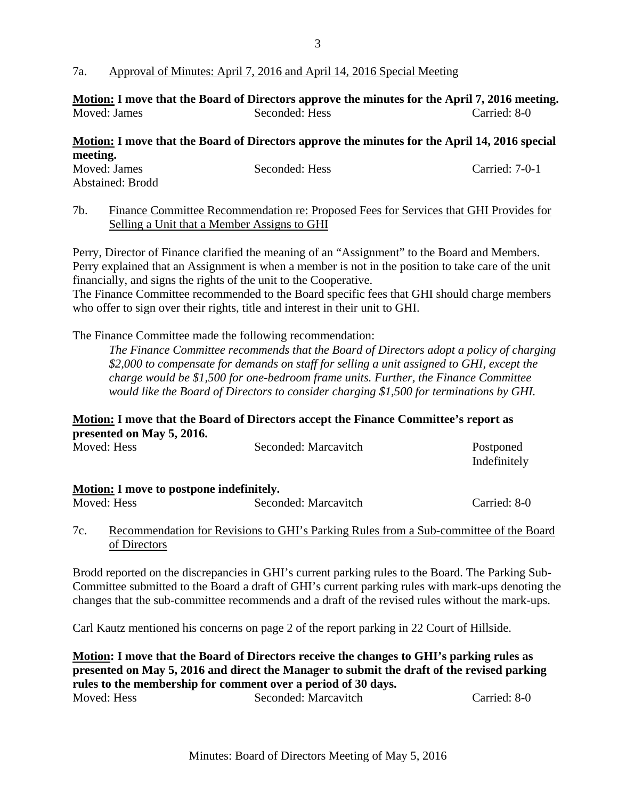### 7a. Approval of Minutes: April 7, 2016 and April 14, 2016 Special Meeting

|              | Motion: I move that the Board of Directors approve the minutes for the April 7, 2016 meeting. |              |
|--------------|-----------------------------------------------------------------------------------------------|--------------|
| Moved: James | Seconded: Hess                                                                                | Carried: 8-0 |

# **Motion: I move that the Board of Directors approve the minutes for the April 14, 2016 special meeting.**

| Moved: James     | Seconded: Hess | Carried: 7-0-1 |
|------------------|----------------|----------------|
| Abstained: Brodd |                |                |
|                  |                |                |

### 7b. Finance Committee Recommendation re: Proposed Fees for Services that GHI Provides for Selling a Unit that a Member Assigns to GHI

Perry, Director of Finance clarified the meaning of an "Assignment" to the Board and Members. Perry explained that an Assignment is when a member is not in the position to take care of the unit financially, and signs the rights of the unit to the Cooperative.

The Finance Committee recommended to the Board specific fees that GHI should charge members who offer to sign over their rights, title and interest in their unit to GHI.

The Finance Committee made the following recommendation:

*The Finance Committee recommends that the Board of Directors adopt a policy of charging \$2,000 to compensate for demands on staff for selling a unit assigned to GHI, except the charge would be \$1,500 for one-bedroom frame units. Further, the Finance Committee would like the Board of Directors to consider charging \$1,500 for terminations by GHI.*

# **Motion: I move that the Board of Directors accept the Finance Committee's report as presented on May 5, 2016.**

| Moved: Hess                              | Seconded: Marcavitch                                                                  | Postponed<br>Indefinitely |
|------------------------------------------|---------------------------------------------------------------------------------------|---------------------------|
| Motion: I move to postpone indefinitely. |                                                                                       |                           |
| Moved: Hess                              | Seconded: Marcavitch                                                                  | Carried: 8-0              |
| 7c.<br>of Directors                      | Recommendation for Revisions to GHI's Parking Rules from a Sub-committee of the Board |                           |

Brodd reported on the discrepancies in GHI's current parking rules to the Board. The Parking Sub-Committee submitted to the Board a draft of GHI's current parking rules with mark-ups denoting the changes that the sub-committee recommends and a draft of the revised rules without the mark-ups.

Carl Kautz mentioned his concerns on page 2 of the report parking in 22 Court of Hillside.

**Motion: I move that the Board of Directors receive the changes to GHI's parking rules as presented on May 5, 2016 and direct the Manager to submit the draft of the revised parking rules to the membership for comment over a period of 30 days.** Moved: Hess Seconded: Marcavitch Carried: 8-0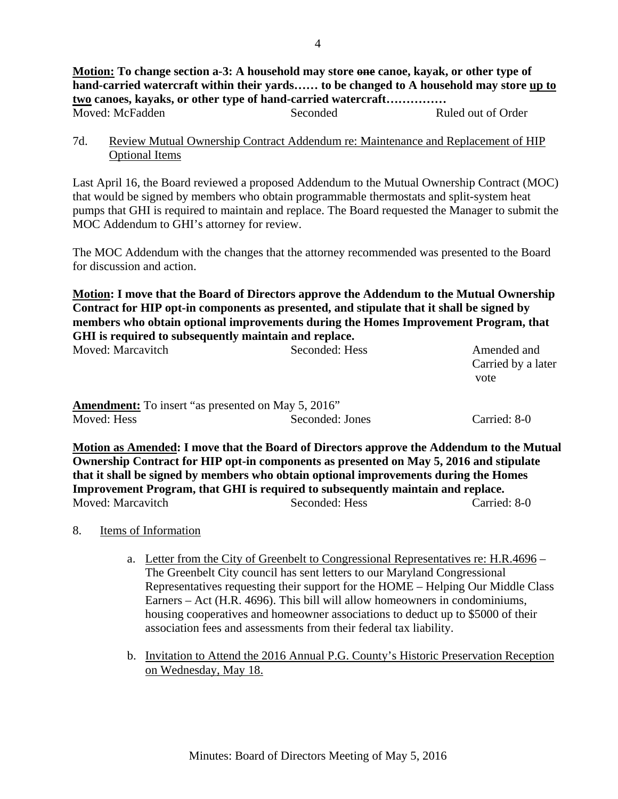**Motion: To change section a-3: A household may store one canoe, kayak, or other type of hand-carried watercraft within their yards…… to be changed to A household may store up to two canoes, kayaks, or other type of hand-carried watercraft……………**  Moved: McFadden Seconded Ruled out of Order

7d. Review Mutual Ownership Contract Addendum re: Maintenance and Replacement of HIP Optional Items

Last April 16, the Board reviewed a proposed Addendum to the Mutual Ownership Contract (MOC) that would be signed by members who obtain programmable thermostats and split-system heat pumps that GHI is required to maintain and replace. The Board requested the Manager to submit the MOC Addendum to GHI's attorney for review.

The MOC Addendum with the changes that the attorney recommended was presented to the Board for discussion and action.

**Motion: I move that the Board of Directors approve the Addendum to the Mutual Ownership Contract for HIP opt-in components as presented, and stipulate that it shall be signed by members who obtain optional improvements during the Homes Improvement Program, that GHI is required to subsequently maintain and replace.** 

| Moved: Marcavitch                                                        | Seconded: Hess  | Amended and<br>Carried by a later<br>vote |
|--------------------------------------------------------------------------|-----------------|-------------------------------------------|
| <b>Amendment:</b> To insert "as presented on May 5, 2016"<br>Moved: Hess | Seconded: Jones | Carried: 8-0                              |

**Motion as Amended: I move that the Board of Directors approve the Addendum to the Mutual Ownership Contract for HIP opt-in components as presented on May 5, 2016 and stipulate that it shall be signed by members who obtain optional improvements during the Homes Improvement Program, that GHI is required to subsequently maintain and replace.** Moved: Marcavitch Seconded: Hess Carried: 8-0

### 8. Items of Information

- a. Letter from the City of Greenbelt to Congressional Representatives re: H.R.4696 The Greenbelt City council has sent letters to our Maryland Congressional Representatives requesting their support for the HOME – Helping Our Middle Class Earners – Act (H.R. 4696). This bill will allow homeowners in condominiums, housing cooperatives and homeowner associations to deduct up to \$5000 of their association fees and assessments from their federal tax liability.
- b. Invitation to Attend the 2016 Annual P.G. County's Historic Preservation Reception on Wednesday, May 18.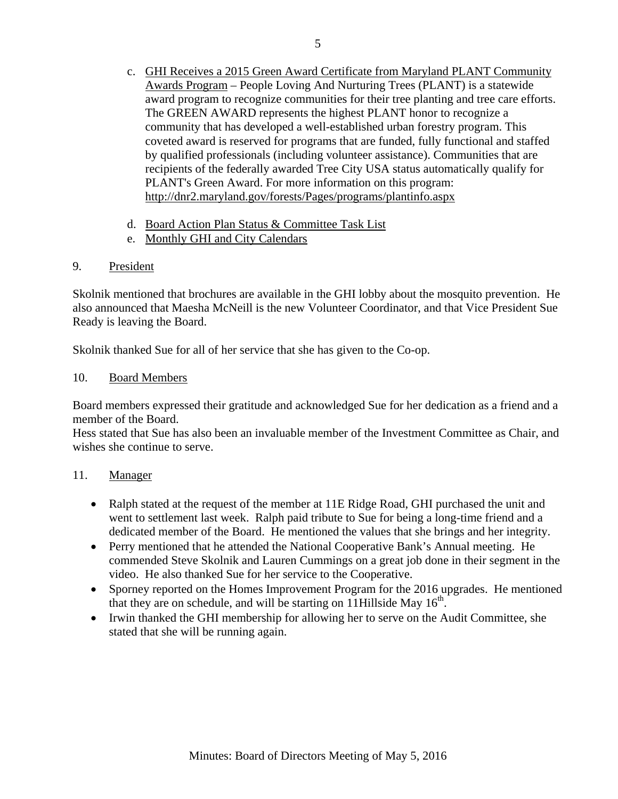- c. GHI Receives a 2015 Green Award Certificate from Maryland PLANT Community Awards Program – People Loving And Nurturing Trees (PLANT) is a statewide award program to recognize communities for their tree planting and tree care efforts. The GREEN AWARD represents the highest PLANT honor to recognize a community that has developed a well-established urban forestry program. This coveted award is reserved for programs that are funded, fully functional and staffed by qualified professionals (including volunteer assistance). Communities that are recipients of the federally awarded Tree City USA status automatically qualify for PLANT's Green Award. For more information on this program: http://dnr2.maryland.gov/forests/Pages/programs/plantinfo.aspx
- d. Board Action Plan Status & Committee Task List
- e. Monthly GHI and City Calendars

## 9. President

Skolnik mentioned that brochures are available in the GHI lobby about the mosquito prevention. He also announced that Maesha McNeill is the new Volunteer Coordinator, and that Vice President Sue Ready is leaving the Board.

Skolnik thanked Sue for all of her service that she has given to the Co-op.

### 10. Board Members

Board members expressed their gratitude and acknowledged Sue for her dedication as a friend and a member of the Board.

Hess stated that Sue has also been an invaluable member of the Investment Committee as Chair, and wishes she continue to serve.

### 11. Manager

- Ralph stated at the request of the member at 11E Ridge Road, GHI purchased the unit and went to settlement last week. Ralph paid tribute to Sue for being a long-time friend and a dedicated member of the Board. He mentioned the values that she brings and her integrity.
- Perry mentioned that he attended the National Cooperative Bank's Annual meeting. He commended Steve Skolnik and Lauren Cummings on a great job done in their segment in the video. He also thanked Sue for her service to the Cooperative.
- Sporney reported on the Homes Improvement Program for the 2016 upgrades. He mentioned that they are on schedule, and will be starting on 11Hillside May  $16<sup>th</sup>$ .
- Irwin thanked the GHI membership for allowing her to serve on the Audit Committee, she stated that she will be running again.